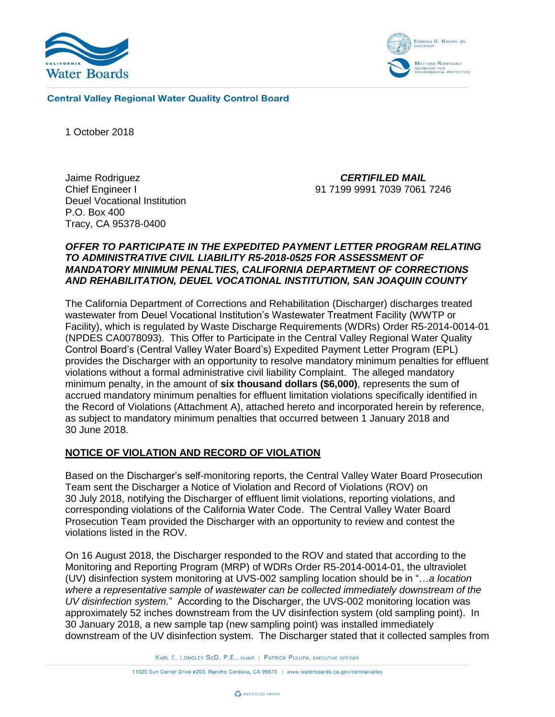



**Central Valley Regional Water Quality Control Board** 

1 October 2018

Jaime Rodriguez Chief Engineer I Deuel Vocational Institution P.O. Box 400 Tracy, CA 95378-0400

*CERTIFILED MAIL* 91 7199 9991 7039 7061 7246

## *OFFER TO PARTICIPATE IN THE EXPEDITED PAYMENT LETTER PROGRAM RELATING TO ADMINISTRATIVE CIVIL LIABILITY R5-2018-0525 FOR ASSESSMENT OF MANDATORY MINIMUM PENALTIES, CALIFORNIA DEPARTMENT OF CORRECTIONS AND REHABILITATION, DEUEL VOCATIONAL INSTITUTION, SAN JOAQUIN COUNTY*

The California Department of Corrections and Rehabilitation (Discharger) discharges treated wastewater from Deuel Vocational Institution's Wastewater Treatment Facility (WWTP or Facility), which is regulated by Waste Discharge Requirements (WDRs) Order R5-2014-0014-01 (NPDES CA0078093). This Offer to Participate in the Central Valley Regional Water Quality Control Board's (Central Valley Water Board's) Expedited Payment Letter Program (EPL) provides the Discharger with an opportunity to resolve mandatory minimum penalties for effluent violations without a formal administrative civil liability Complaint. The alleged mandatory minimum penalty, in the amount of **six thousand dollars (\$6,000)**, represents the sum of accrued mandatory minimum penalties for effluent limitation violations specifically identified in the Record of Violations (Attachment A), attached hereto and incorporated herein by reference, as subject to mandatory minimum penalties that occurred between 1 January 2018 and 30 June 2018.

## **NOTICE OF VIOLATION AND RECORD OF VIOLATION**

Based on the Discharger's self-monitoring reports, the Central Valley Water Board Prosecution Team sent the Discharger a Notice of Violation and Record of Violations (ROV) on 30 July 2018, notifying the Discharger of effluent limit violations, reporting violations, and corresponding violations of the California Water Code. The Central Valley Water Board Prosecution Team provided the Discharger with an opportunity to review and contest the violations listed in the ROV.

On 16 August 2018, the Discharger responded to the ROV and stated that according to the Monitoring and Reporting Program (MRP) of WDRs Order R5-2014-0014-01, the ultraviolet (UV) disinfection system monitoring at UVS-002 sampling location should be in "…*a location where a representative sample of wastewater can be collected immediately downstream of the UV disinfection system.*" According to the Discharger, the UVS-002 monitoring location was approximately 52 inches downstream from the UV disinfection system (old sampling point). In 30 January 2018, a new sample tap (new sampling point) was installed immediately downstream of the UV disinfection system. The Discharger stated that it collected samples from

KARL E. LONGLEY SCD, P.E., CHAIR | PATRICK PULUPA, EXECUTIVE OFFICER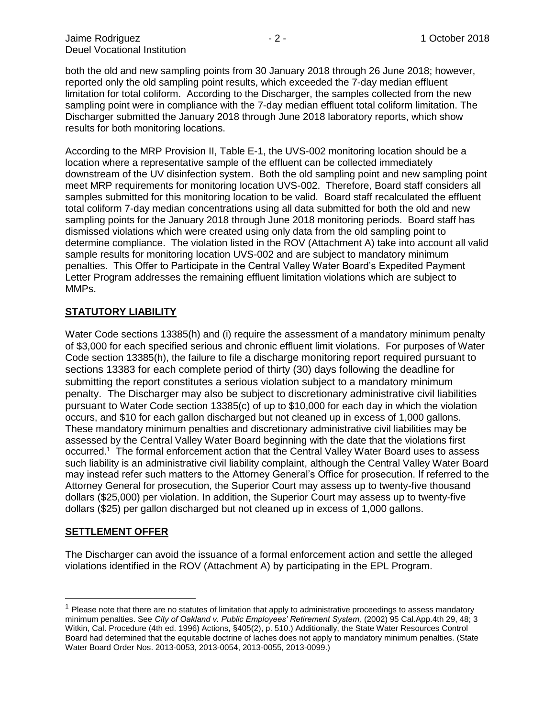both the old and new sampling points from 30 January 2018 through 26 June 2018; however, reported only the old sampling point results, which exceeded the 7-day median effluent limitation for total coliform. According to the Discharger, the samples collected from the new sampling point were in compliance with the 7-day median effluent total coliform limitation. The Discharger submitted the January 2018 through June 2018 laboratory reports, which show results for both monitoring locations.

According to the MRP Provision II, Table E-1, the UVS-002 monitoring location should be a location where a representative sample of the effluent can be collected immediately downstream of the UV disinfection system. Both the old sampling point and new sampling point meet MRP requirements for monitoring location UVS-002. Therefore, Board staff considers all samples submitted for this monitoring location to be valid. Board staff recalculated the effluent total coliform 7-day median concentrations using all data submitted for both the old and new sampling points for the January 2018 through June 2018 monitoring periods. Board staff has dismissed violations which were created using only data from the old sampling point to determine compliance. The violation listed in the ROV (Attachment A) take into account all valid sample results for monitoring location UVS-002 and are subject to mandatory minimum penalties. This Offer to Participate in the Central Valley Water Board's Expedited Payment Letter Program addresses the remaining effluent limitation violations which are subject to MMPs.

### **STATUTORY LIABILITY**

Water Code sections 13385(h) and (i) require the assessment of a mandatory minimum penalty of \$3,000 for each specified serious and chronic effluent limit violations. For purposes of Water Code section 13385(h), the failure to file a discharge monitoring report required pursuant to sections 13383 for each complete period of thirty (30) days following the deadline for submitting the report constitutes a serious violation subject to a mandatory minimum penalty. The Discharger may also be subject to discretionary administrative civil liabilities pursuant to Water Code section 13385(c) of up to \$10,000 for each day in which the violation occurs, and \$10 for each gallon discharged but not cleaned up in excess of 1,000 gallons. These mandatory minimum penalties and discretionary administrative civil liabilities may be assessed by the Central Valley Water Board beginning with the date that the violations first occurred.<sup>1</sup> The formal enforcement action that the Central Valley Water Board uses to assess such liability is an administrative civil liability complaint, although the Central Valley Water Board may instead refer such matters to the Attorney General's Office for prosecution. If referred to the Attorney General for prosecution, the Superior Court may assess up to twenty-five thousand dollars (\$25,000) per violation. In addition, the Superior Court may assess up to twenty-five dollars (\$25) per gallon discharged but not cleaned up in excess of 1,000 gallons.

### **SETTLEMENT OFFER**

 $\overline{a}$ 

The Discharger can avoid the issuance of a formal enforcement action and settle the alleged violations identified in the ROV (Attachment A) by participating in the EPL Program.

 $<sup>1</sup>$  Please note that there are no statutes of limitation that apply to administrative proceedings to assess mandatory</sup> minimum penalties. See *City of Oakland v. Public Employees' Retirement System,* (2002) 95 Cal.App.4th 29, 48; 3 Witkin, Cal. Procedure (4th ed. 1996) Actions, §405(2), p. 510.) Additionally, the State Water Resources Control Board had determined that the equitable doctrine of laches does not apply to mandatory minimum penalties. (State Water Board Order Nos. 2013-0053, 2013-0054, 2013-0055, 2013-0099.)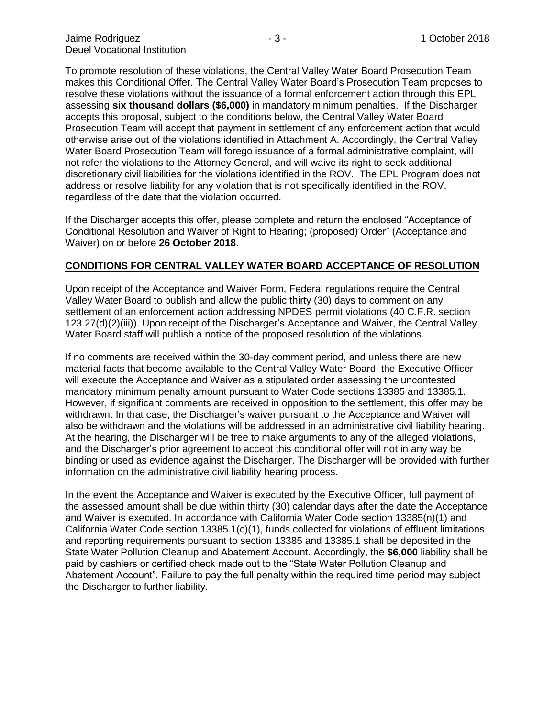To promote resolution of these violations, the Central Valley Water Board Prosecution Team makes this Conditional Offer. The Central Valley Water Board's Prosecution Team proposes to resolve these violations without the issuance of a formal enforcement action through this EPL assessing **six thousand dollars (\$6,000)** in mandatory minimum penalties. If the Discharger accepts this proposal, subject to the conditions below, the Central Valley Water Board Prosecution Team will accept that payment in settlement of any enforcement action that would otherwise arise out of the violations identified in Attachment A. Accordingly, the Central Valley Water Board Prosecution Team will forego issuance of a formal administrative complaint, will not refer the violations to the Attorney General, and will waive its right to seek additional discretionary civil liabilities for the violations identified in the ROV. The EPL Program does not address or resolve liability for any violation that is not specifically identified in the ROV, regardless of the date that the violation occurred.

If the Discharger accepts this offer, please complete and return the enclosed "Acceptance of Conditional Resolution and Waiver of Right to Hearing; (proposed) Order" (Acceptance and Waiver) on or before **26 October 2018**.

### **CONDITIONS FOR CENTRAL VALLEY WATER BOARD ACCEPTANCE OF RESOLUTION**

Upon receipt of the Acceptance and Waiver Form, Federal regulations require the Central Valley Water Board to publish and allow the public thirty (30) days to comment on any settlement of an enforcement action addressing NPDES permit violations (40 C.F.R. section 123.27(d)(2)(iii)). Upon receipt of the Discharger's Acceptance and Waiver, the Central Valley Water Board staff will publish a notice of the proposed resolution of the violations.

If no comments are received within the 30-day comment period, and unless there are new material facts that become available to the Central Valley Water Board, the Executive Officer will execute the Acceptance and Waiver as a stipulated order assessing the uncontested mandatory minimum penalty amount pursuant to Water Code sections 13385 and 13385.1. However, if significant comments are received in opposition to the settlement, this offer may be withdrawn. In that case, the Discharger's waiver pursuant to the Acceptance and Waiver will also be withdrawn and the violations will be addressed in an administrative civil liability hearing. At the hearing, the Discharger will be free to make arguments to any of the alleged violations, and the Discharger's prior agreement to accept this conditional offer will not in any way be binding or used as evidence against the Discharger. The Discharger will be provided with further information on the administrative civil liability hearing process.

In the event the Acceptance and Waiver is executed by the Executive Officer, full payment of the assessed amount shall be due within thirty (30) calendar days after the date the Acceptance and Waiver is executed. In accordance with California Water Code section 13385(n)(1) and California Water Code section 13385.1(c)(1), funds collected for violations of effluent limitations and reporting requirements pursuant to section 13385 and 13385.1 shall be deposited in the State Water Pollution Cleanup and Abatement Account. Accordingly, the **\$6,000** liability shall be paid by cashiers or certified check made out to the "State Water Pollution Cleanup and Abatement Account". Failure to pay the full penalty within the required time period may subject the Discharger to further liability.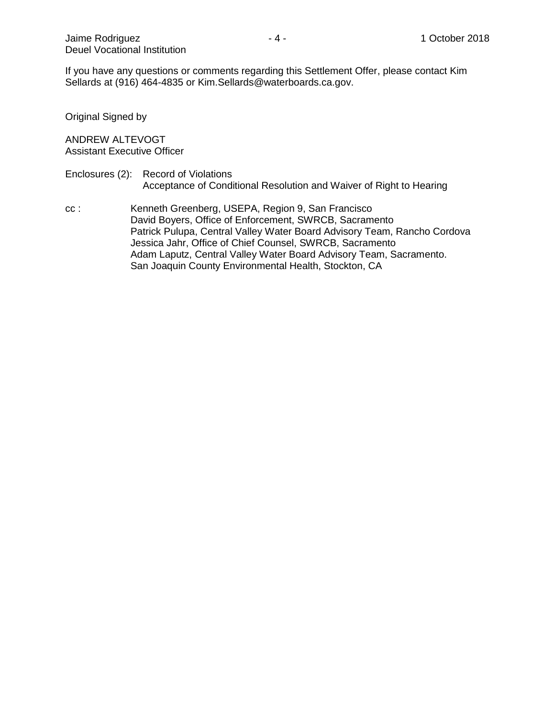If you have any questions or comments regarding this Settlement Offer, please contact Kim Sellards at (916) 464-4835 or Kim.Sellards@waterboards.ca.gov.

Original Signed by

ANDREW ALTEVOGT Assistant Executive Officer

#### Enclosures (2): Record of Violations Acceptance of Conditional Resolution and Waiver of Right to Hearing

cc : Kenneth Greenberg, USEPA, Region 9, San Francisco David Boyers, Office of Enforcement, SWRCB, Sacramento Patrick Pulupa, Central Valley Water Board Advisory Team, Rancho Cordova Jessica Jahr, Office of Chief Counsel, SWRCB, Sacramento Adam Laputz, Central Valley Water Board Advisory Team, Sacramento. San Joaquin County Environmental Health, Stockton, CA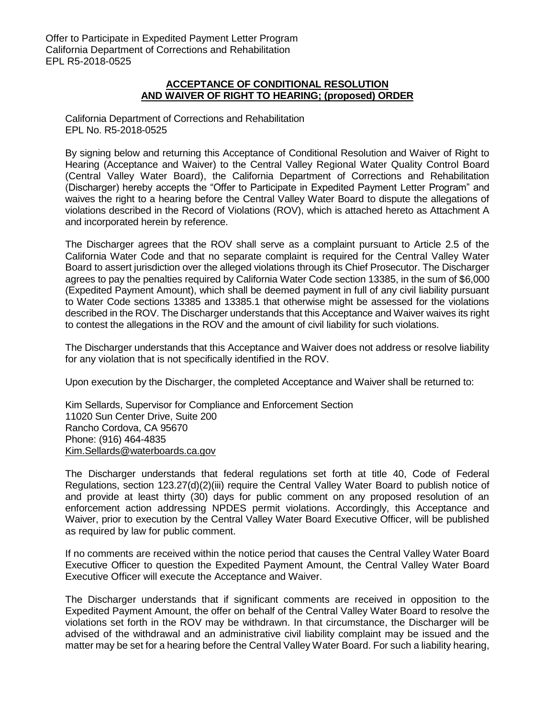## **ACCEPTANCE OF CONDITIONAL RESOLUTION AND WAIVER OF RIGHT TO HEARING; (proposed) ORDER**

California Department of Corrections and Rehabilitation EPL No. R5-2018-0525

By signing below and returning this Acceptance of Conditional Resolution and Waiver of Right to Hearing (Acceptance and Waiver) to the Central Valley Regional Water Quality Control Board (Central Valley Water Board), the California Department of Corrections and Rehabilitation (Discharger) hereby accepts the "Offer to Participate in Expedited Payment Letter Program" and waives the right to a hearing before the Central Valley Water Board to dispute the allegations of violations described in the Record of Violations (ROV), which is attached hereto as Attachment A and incorporated herein by reference.

The Discharger agrees that the ROV shall serve as a complaint pursuant to Article 2.5 of the California Water Code and that no separate complaint is required for the Central Valley Water Board to assert jurisdiction over the alleged violations through its Chief Prosecutor. The Discharger agrees to pay the penalties required by California Water Code section 13385, in the sum of \$6,000 (Expedited Payment Amount), which shall be deemed payment in full of any civil liability pursuant to Water Code sections 13385 and 13385.1 that otherwise might be assessed for the violations described in the ROV. The Discharger understands that this Acceptance and Waiver waives its right to contest the allegations in the ROV and the amount of civil liability for such violations.

The Discharger understands that this Acceptance and Waiver does not address or resolve liability for any violation that is not specifically identified in the ROV.

Upon execution by the Discharger, the completed Acceptance and Waiver shall be returned to:

Kim Sellards, Supervisor for Compliance and Enforcement Section 11020 Sun Center Drive, Suite 200 Rancho Cordova, CA 95670 Phone: (916) 464-4835 [Kim.Sellards@waterboards.ca.gov](mailto:Kim.Sellards@waterboards.ca.gov)

The Discharger understands that federal regulations set forth at title 40, Code of Federal Regulations, section 123.27(d)(2)(iii) require the Central Valley Water Board to publish notice of and provide at least thirty (30) days for public comment on any proposed resolution of an enforcement action addressing NPDES permit violations. Accordingly, this Acceptance and Waiver, prior to execution by the Central Valley Water Board Executive Officer, will be published as required by law for public comment.

If no comments are received within the notice period that causes the Central Valley Water Board Executive Officer to question the Expedited Payment Amount, the Central Valley Water Board Executive Officer will execute the Acceptance and Waiver.

The Discharger understands that if significant comments are received in opposition to the Expedited Payment Amount, the offer on behalf of the Central Valley Water Board to resolve the violations set forth in the ROV may be withdrawn. In that circumstance, the Discharger will be advised of the withdrawal and an administrative civil liability complaint may be issued and the matter may be set for a hearing before the Central Valley Water Board. For such a liability hearing,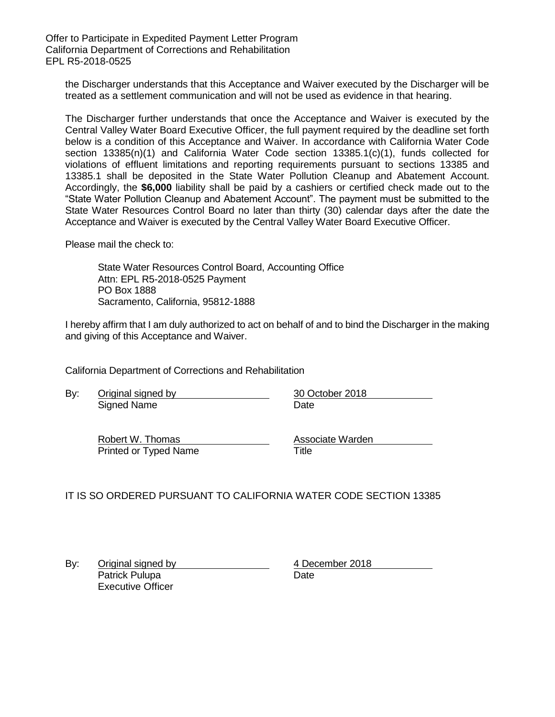Offer to Participate in Expedited Payment Letter Program California Department of Corrections and Rehabilitation EPL R5-2018-0525

the Discharger understands that this Acceptance and Waiver executed by the Discharger will be treated as a settlement communication and will not be used as evidence in that hearing.

The Discharger further understands that once the Acceptance and Waiver is executed by the Central Valley Water Board Executive Officer, the full payment required by the deadline set forth below is a condition of this Acceptance and Waiver. In accordance with California Water Code section 13385(n)(1) and California Water Code section 13385.1(c)(1), funds collected for violations of effluent limitations and reporting requirements pursuant to sections 13385 and 13385.1 shall be deposited in the State Water Pollution Cleanup and Abatement Account. Accordingly, the **\$6,000** liability shall be paid by a cashiers or certified check made out to the "State Water Pollution Cleanup and Abatement Account". The payment must be submitted to the State Water Resources Control Board no later than thirty (30) calendar days after the date the Acceptance and Waiver is executed by the Central Valley Water Board Executive Officer.

Please mail the check to:

State Water Resources Control Board, Accounting Office Attn: EPL R5-2018-0525 Payment PO Box 1888 Sacramento, California, 95812-1888

I hereby affirm that I am duly authorized to act on behalf of and to bind the Discharger in the making and giving of this Acceptance and Waiver.

California Department of Corrections and Rehabilitation

By: Original signed by 30 October 2018 Signed Name Date **Date** 

Robert W. Thomas **Associate Warden** Printed or Typed Name Title

IT IS SO ORDERED PURSUANT TO CALIFORNIA WATER CODE SECTION 13385

By: Original signed by 4 December 2018 Patrick Pulupa Date Executive Officer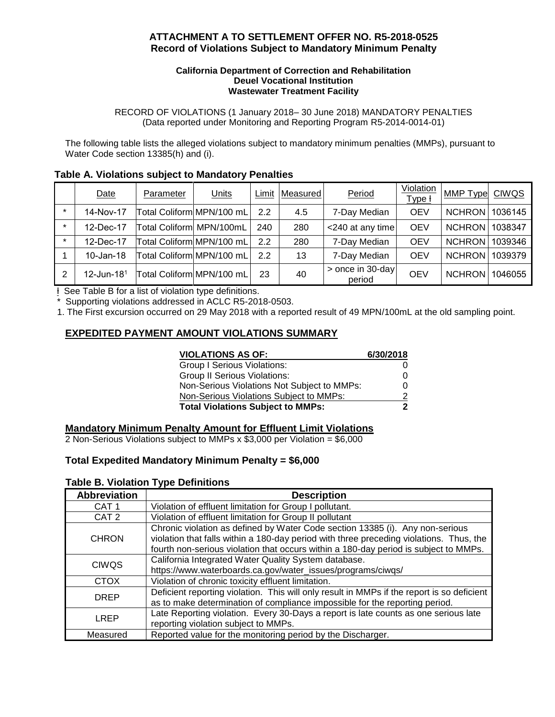## **ATTACHMENT A TO SETTLEMENT OFFER NO. R5-2018-0525 Record of Violations Subject to Mandatory Minimum Penalty**

#### **California Department of Correction and Rehabilitation Deuel Vocational Institution Wastewater Treatment Facility**

RECORD OF VIOLATIONS (1 January 2018– 30 June 2018) MANDATORY PENALTIES (Data reported under Monitoring and Reporting Program R5-2014-0014-01)

The following table lists the alleged violations subject to mandatory minimum penalties (MMPs), pursuant to Water Code section 13385(h) and (i).

|  |  |  | Table A. Violations subject to Mandatory Penalties |
|--|--|--|----------------------------------------------------|
|--|--|--|----------------------------------------------------|

|         | Date          | Parameter                 | <b>Units</b>              | Limit | Measured | Period                     | <b>Violation</b><br>Type <del>I</del> | MMP Type              | <b>CIWQS</b> |
|---------|---------------|---------------------------|---------------------------|-------|----------|----------------------------|---------------------------------------|-----------------------|--------------|
|         | 14-Nov-17     |                           | Total Coliform MPN/100 mL | 2.2   | 4.5      | 7-Day Median               | <b>OEV</b>                            | NCHRON 1036145        |              |
|         | 12-Dec-17     | Total Coliform MPN/100mL  |                           | 240   | 280      | <240 at any time           | <b>OEV</b>                            | NCHRON 1038347        |              |
| $\star$ | 12-Dec-17     |                           | Total Coliform MPN/100 mL | 2.2   | 280      | 7-Day Median               | <b>OEV</b>                            | NCHRON 1039346        |              |
|         | 10-Jan-18     |                           | Total Coliform MPN/100 mL | 2.2   | 13       | 7-Day Median               | <b>OEV</b>                            | NCHRON 1039379        |              |
| 2       | 12-Jun-18 $1$ | Total Coliform MPN/100 mL |                           | 23    | 40       | > once in 30-day<br>period | <b>OEV</b>                            | <b>NCHRON</b> 1046055 |              |

ƚ See Table B for a list of violation type definitions.

Supporting violations addressed in ACLC R5-2018-0503.

1. The First excursion occurred on 29 May 2018 with a reported result of 49 MPN/100mL at the old sampling point.

## **EXPEDITED PAYMENT AMOUNT VIOLATIONS SUMMARY**

| <b>VIOLATIONS AS OF:</b>                    | 6/30/2018 |
|---------------------------------------------|-----------|
| <b>Group I Serious Violations:</b>          |           |
| <b>Group II Serious Violations:</b>         | O         |
| Non-Serious Violations Not Subject to MMPs: |           |
| Non-Serious Violations Subject to MMPs:     |           |
| <b>Total Violations Subject to MMPs:</b>    |           |

### **Mandatory Minimum Penalty Amount for Effluent Limit Violations**

2 Non-Serious Violations subject to MMPs x \$3,000 per Violation = \$6,000

## **Total Expedited Mandatory Minimum Penalty = \$6,000**

### **Table B. Violation Type Definitions**

| <b>Abbreviation</b> | <b>Description</b>                                                                         |  |
|---------------------|--------------------------------------------------------------------------------------------|--|
| CAT <sub>1</sub>    | Violation of effluent limitation for Group I pollutant.                                    |  |
| CAT <sub>2</sub>    | Violation of effluent limitation for Group II pollutant                                    |  |
| <b>CHRON</b>        | Chronic violation as defined by Water Code section 13385 (i). Any non-serious              |  |
|                     | violation that falls within a 180-day period with three preceding violations. Thus, the    |  |
|                     | fourth non-serious violation that occurs within a 180-day period is subject to MMPs.       |  |
| <b>CIWQS</b>        | California Integrated Water Quality System database.                                       |  |
|                     | https://www.waterboards.ca.gov/water_issues/programs/ciwqs/                                |  |
| <b>CTOX</b>         | Violation of chronic toxicity effluent limitation.                                         |  |
| <b>DREP</b>         | Deficient reporting violation. This will only result in MMPs if the report is so deficient |  |
|                     | as to make determination of compliance impossible for the reporting period.                |  |
| LREP                | Late Reporting violation. Every 30-Days a report is late counts as one serious late        |  |
|                     | reporting violation subject to MMPs.                                                       |  |
| Measured            | Reported value for the monitoring period by the Discharger.                                |  |